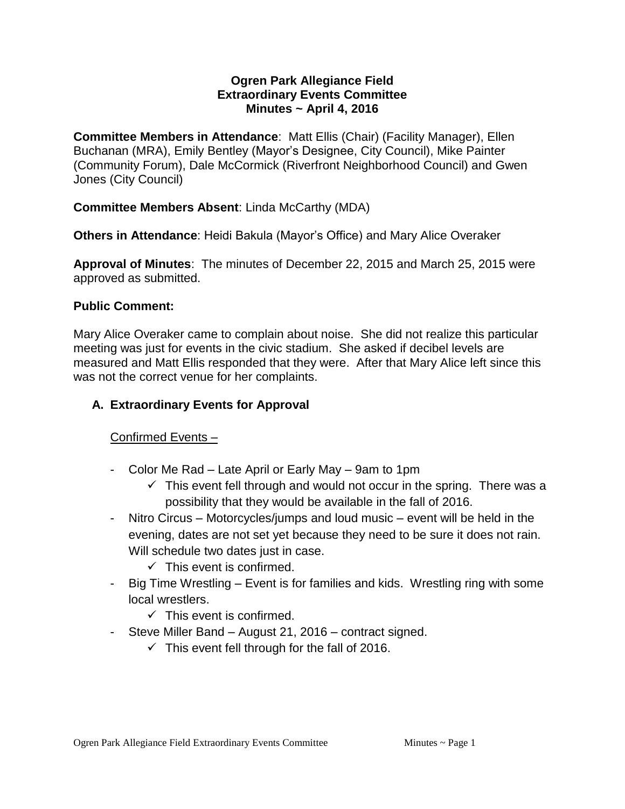#### **Ogren Park Allegiance Field Extraordinary Events Committee Minutes ~ April 4, 2016**

**Committee Members in Attendance**: Matt Ellis (Chair) (Facility Manager), Ellen Buchanan (MRA), Emily Bentley (Mayor's Designee, City Council), Mike Painter (Community Forum), Dale McCormick (Riverfront Neighborhood Council) and Gwen Jones (City Council)

# **Committee Members Absent**: Linda McCarthy (MDA)

**Others in Attendance**: Heidi Bakula (Mayor's Office) and Mary Alice Overaker

**Approval of Minutes**: The minutes of December 22, 2015 and March 25, 2015 were approved as submitted.

#### **Public Comment:**

Mary Alice Overaker came to complain about noise. She did not realize this particular meeting was just for events in the civic stadium. She asked if decibel levels are measured and Matt Ellis responded that they were. After that Mary Alice left since this was not the correct venue for her complaints.

# **A. Extraordinary Events for Approval**

# Confirmed Events –

- Color Me Rad Late April or Early May 9am to 1pm
	- $\checkmark$  This event fell through and would not occur in the spring. There was a possibility that they would be available in the fall of 2016.
- Nitro Circus Motorcycles/jumps and loud music event will be held in the evening, dates are not set yet because they need to be sure it does not rain. Will schedule two dates just in case.
	- $\checkmark$  This event is confirmed.
- Big Time Wrestling Event is for families and kids. Wrestling ring with some local wrestlers.
	- $\checkmark$  This event is confirmed.
- Steve Miller Band August 21, 2016 contract signed.
	- $\checkmark$  This event fell through for the fall of 2016.